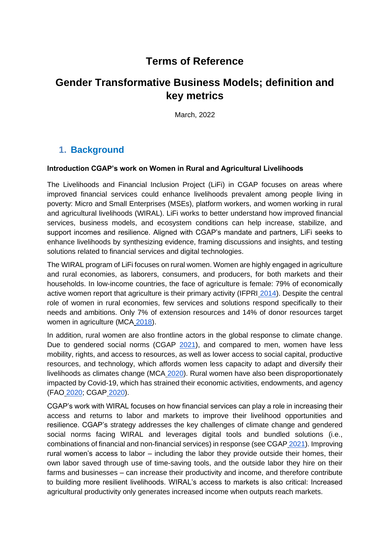# **Terms of Reference**

# **Gender Transformative Business Models; definition and key metrics**

March, 2022

## **1. Background**

#### **Introduction CGAP's work on Women in Rural and Agricultural Livelihoods**

The Livelihoods and Financial Inclusion Project (LiFi) in CGAP focuses on areas where improved financial services could enhance livelihoods prevalent among people living in poverty: Micro and Small Enterprises (MSEs), platform workers, and women working in rural and agricultural livelihoods (WIRAL). LiFi works to better understand how improved financial services, business models, and ecosystem conditions can help increase, stabilize, and support incomes and resilience. Aligned with CGAP's mandate and partners, LiFi seeks to enhance livelihoods by synthesizing evidence, framing discussions and insights, and testing solutions related to financial services and digital technologies.

The WIRAL program of LiFi focuses on rural women. Women are highly engaged in agriculture and rural economies, as laborers, consumers, and producers, for both markets and their households. In low-income countries, the face of agriculture is female: 79% of economically active women report that agriculture is their primary activity (IFPRI [2014\)](https://www.ifpri.org/publication/closing-knowledge-gap-gender-agriculture). Despite the central role of women in rural economies, few services and solutions respond specifically to their needs and ambitions. Only 7% of extension resources and 14% of donor resources target women in agriculture (MC[A](https://www.mercycorpsagrifin.org/wp-content/uploads/2020/03/AFA-Women-Insights-Infographic_FIN.pdf) [2018\)](https://www.mercycorpsagrifin.org/wp-content/uploads/2020/03/AFA-Women-Insights-Infographic_FIN.pdf).

In addition, rural women are also frontline actors in the global response to climate change. Due to gendered social norms (CGA[P](https://www.cgap.org/research/publication/addressing-gender-norms-increase-financial-inclusion-designing-impact) [2021\)](https://www.cgap.org/research/publication/addressing-gender-norms-increase-financial-inclusion-designing-impact), and compared to men, women have less mobility, rights, and access to resources, as well as lower access to social capital, productive resources, and technology, which affords women less capacity to adapt and diversify their livelihoods as climates change (MC[A](https://www.mercycorpsagrifin.org/2020/08/28/de-risking-women-farmers-for-local-banks-with-index-based-insurance-product-innovations/) [2020\)](https://www.mercycorpsagrifin.org/2020/08/28/de-risking-women-farmers-for-local-banks-with-index-based-insurance-product-innovations/). Rural women have also been disproportionately impacted by Covid-19, which has strained their economic activities, endowments, and agency (FAO [2020;](https://www.fao.org/documents/card/en/c/ca9198en) CGA[P](https://www.cgap.org/blog/women-rural-and-agricultural-livelihoods-facing-covid-19) [2020\)](https://www.cgap.org/blog/women-rural-and-agricultural-livelihoods-facing-covid-19).

CGAP's work with WIRAL focuses on how financial services can play a role in increasing their access and returns to labor and markets to improve their livelihood opportunities and resilience. CGAP's strategy addresses the key challenges of climate change and gendered social norms facing WIRAL and leverages digital tools and bundled solutions (i.e., combinations of financial and non-financial services) in response (see CGAP [2021\)](https://www.cgap.org/research/slide-deck/financial-solutions-women-rural-and-agricultural-livelihoods). Improving rural women's access to labor – including the labor they provide outside their homes, their own labor saved through use of time-saving tools, and the outside labor they hire on their farms and businesses – can increase their productivity and income, and therefore contribute to building more resilient livelihoods. WIRAL's access to markets is also critical: Increased agricultural productivity only generates increased income when outputs reach markets.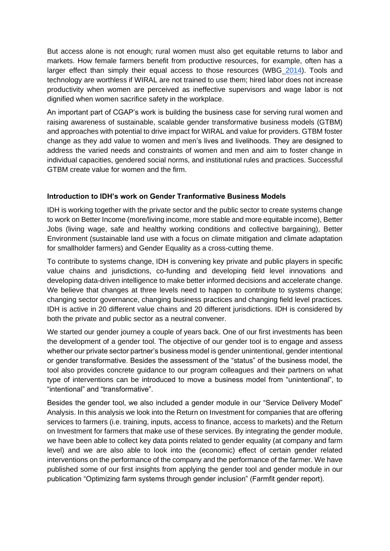But access alone is not enough; rural women must also get equitable returns to labor and markets. How female farmers benefit from productive resources, for example, often has a larger effect than simply their equal access to those resources (WB[G](https://openknowledge.worldbank.org/bitstream/handle/10986/17790/860390WP0WB0ON0osure0date0March0180.pdf?sequence=1&isAllowed=y) [2014\)](https://openknowledge.worldbank.org/bitstream/handle/10986/17790/860390WP0WB0ON0osure0date0March0180.pdf?sequence=1&isAllowed=y). Tools and technology are worthless if WIRAL are not trained to use them; hired labor does not increase productivity when women are perceived as ineffective supervisors and wage labor is not dignified when women sacrifice safety in the workplace.

An important part of CGAP's work is building the business case for serving rural women and raising awareness of sustainable, scalable gender transformative business models (GTBM) and approaches with potential to drive impact for WIRAL and value for providers. GTBM foster change as they add value to women and men's lives and livelihoods. They are designed to address the varied needs and constraints of women and men and aim to foster change in individual capacities, gendered social norms, and institutional rules and practices. Successful GTBM create value for women and the firm.

#### **Introduction to IDH's work on Gender Tranformative Business Models**

IDH is working together with the private sector and the public sector to create systems change to work on Better Income (more/living income, more stable and more equitable income), Better Jobs (living wage, safe and healthy working conditions and collective bargaining), Better Environment (sustainable land use with a focus on climate mitigation and climate adaptation for smallholder farmers) and Gender Equality as a cross-cutting theme.

To contribute to systems change, IDH is convening key private and public players in specific value chains and jurisdictions, co-funding and developing field level innovations and developing data-driven intelligence to make better informed decisions and accelerate change. We believe that changes at three levels need to happen to contribute to systems change; changing sector governance, changing business practices and changing field level practices. IDH is active in 20 different value chains and 20 different jurisdictions. IDH is considered by both the private and public sector as a neutral convener.

We started our gender journey a couple of years back. One of our first investments has been the development of a gender tool. The objective of our gender tool is to engage and assess whether our private sector partner's business model is gender unintentional, gender intentional or gender transformative. Besides the assessment of the "status" of the business model, the tool also provides concrete guidance to our program colleagues and their partners on what type of interventions can be introduced to move a business model from "unintentional", to "intentional" and "transformative".

Besides the gender tool, we also included a gender module in our "Service Delivery Model" Analysis. In this analysis we look into the Return on Investment for companies that are offering services to farmers (i.e. training, inputs, access to finance, access to markets) and the Return on Investment for farmers that make use of these services. By integrating the gender module, we have been able to collect key data points related to gender equality (at company and farm level) and we are also able to look into the (economic) effect of certain gender related interventions on the performance of the company and the performance of the farmer. We have published some of our first insights from applying the gender tool and gender module in our publication "Optimizing farm systems through gender inclusion" (Farmfit gender report).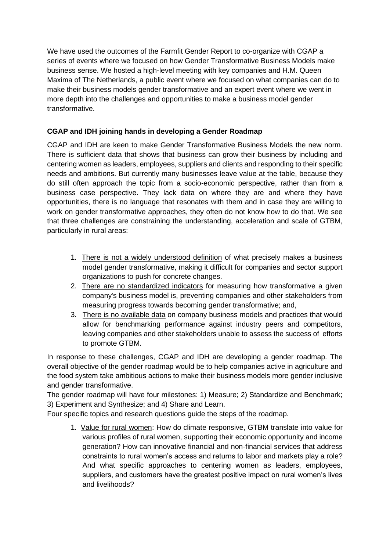We have used the outcomes of the Farmfit Gender Report to co-organize with CGAP a series of events where we focused on how Gender Transformative Business Models make business sense. We hosted a high-level meeting with key companies and H.M. Queen Maxima of The Netherlands, a public event where we focused on what companies can do to make their business models gender transformative and an expert event where we went in more depth into the challenges and opportunities to make a business model gender transformative.

### **CGAP and IDH joining hands in developing a Gender Roadmap**

CGAP and IDH are keen to make Gender Transformative Business Models the new norm. There is sufficient data that shows that business can grow their business by including and centering women as leaders, employees, suppliers and clients and responding to their specific needs and ambitions. But currently many businesses leave value at the table, because they do still often approach the topic from a socio-economic perspective, rather than from a business case perspective. They lack data on where they are and where they have opportunities, there is no language that resonates with them and in case they are willing to work on gender transformative approaches, they often do not know how to do that. We see that three challenges are constraining the understanding, acceleration and scale of GTBM, particularly in rural areas:

- 1. There is not a widely understood definition of what precisely makes a business model gender transformative, making it difficult for companies and sector support organizations to push for concrete changes.
- 2. There are no standardized indicators for measuring how transformative a given company's business model is, preventing companies and other stakeholders from measuring progress towards becoming gender transformative; and,
- 3. There is no available data on company business models and practices that would allow for benchmarking performance against industry peers and competitors, leaving companies and other stakeholders unable to assess the success of efforts to promote GTBM.

In response to these challenges, CGAP and IDH are developing a gender roadmap. The overall objective of the gender roadmap would be to help companies active in agriculture and the food system take ambitious actions to make their business models more gender inclusive and gender transformative.

The gender roadmap will have four milestones: 1) Measure; 2) Standardize and Benchmark; 3) Experiment and Synthesize; and 4) Share and Learn.

Four specific topics and research questions guide the steps of the roadmap.

1. Value for rural women: How do climate responsive, GTBM translate into value for various profiles of rural women, supporting their economic opportunity and income generation? How can innovative financial and non-financial services that address constraints to rural women's access and returns to labor and markets play a role? And what specific approaches to centering women as leaders, employees, suppliers, and customers have the greatest positive impact on rural women's lives and livelihoods?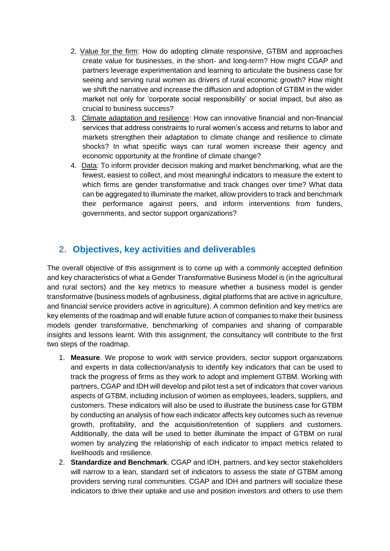- 2. Value for the firm: How do adopting climate responsive, GTBM and approaches create value for businesses, in the short- and long-term? How might CGAP and partners leverage experimentation and learning to articulate the business case for seeing and serving rural women as drivers of rural economic growth? How might we shift the narrative and increase the diffusion and adoption of GTBM in the wider market not only for 'corporate social responsibility' or social impact, but also as crucial to business success?
- 3. Climate adaptation and resilience: How can innovative financial and non-financial services that address constraints to rural women's access and returns to labor and markets strengthen their adaptation to climate change and resilience to climate shocks? In what specific ways can rural women increase their agency and economic opportunity at the frontline of climate change?
- 4. Data: To inform provider decision making and market benchmarking, what are the fewest, easiest to collect, and most meaningful indicators to measure the extent to which firms are gender transformative and track changes over time? What data can be aggregated to illuminate the market, allow providers to track and benchmark their performance against peers, and inform interventions from funders, governments, and sector support organizations?

## **2. Objectives, key activities and deliverables**

The overall objective of this assignment is to come up with a commonly accepted definition and key characteristics of what a Gender Transformative Business Model is (in the agricultural and rural sectors) and the key metrics to measure whether a business model is gender transformative (business models of agribusiness, digital platforms that are active in agriculture, and financial service providers active in agriculture). A common definition and key metrics are key elements of the roadmap and will enable future action of companies to make their business models gender transformative, benchmarking of companies and sharing of comparable insights and lessons learnt. With this assignment, the consultancy will contribute to the first two steps of the roadmap.

- 1. **Measure**. We propose to work with service providers, sector support organizations and experts in data collection/analysis to identify key indicators that can be used to track the progress of firms as they work to adopt and implement GTBM. Working with partners, CGAP and IDH will develop and pilot test a set of indicators that cover various aspects of GTBM, including inclusion of women as employees, leaders, suppliers, and customers. These indicators will also be used to illustrate the business case for GTBM by conducting an analysis of how each indicator affects key outcomes such as revenue growth, profitability, and the acquisition/retention of suppliers and customers. Additionally, the data will be used to better illuminate the impact of GTBM on rural women by analyzing the relationship of each indicator to impact metrics related to livelihoods and resilience.
- 2. **Standardize and Benchmark**. CGAP and IDH, partners, and key sector stakeholders will narrow to a lean, standard set of indicators to assess the state of GTBM among providers serving rural communities. CGAP and IDH and partners will socialize these indicators to drive their uptake and use and position investors and others to use them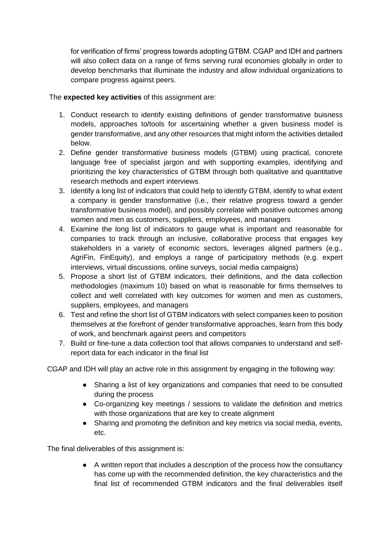for verification of firms' progress towards adopting GTBM. CGAP and IDH and partners will also collect data on a range of firms serving rural economies globally in order to develop benchmarks that illuminate the industry and allow individual organizations to compare progress against peers.

#### The **expected key activities** of this assignment are:

- 1. Conduct research to identify existing definitions of gender transformative buisness models, approaches to/tools for ascertaining whether a given business model is gender transformative, and any other resources that might inform the activities detailed below.
- 2. Define gender transformative business models (GTBM) using practical, concrete language free of specialist jargon and with supporting examples, identifying and prioritizing the key characteristics of GTBM through both qualitative and quantitative research methods and expert interviews.
- 3. Identify a long list of indicators that could help to identify GTBM, identify to what extent a company is gender transformative (i.e., their relative progress toward a gender transformative business model), and possibly correlate with positive outcomes among women and men as customers, suppliers, employees, and managers
- 4. Examine the long list of indicators to gauge what is important and reasonable for companies to track through an inclusive, collaborative process that engages key stakeholders in a variety of economic sectors, leverages aligned partners (e.g., AgriFin, FinEquity), and employs a range of participatory methods (e.g. expert interviews, virtual discussions, online surveys, social media campaigns)
- 5. Propose a short list of GTBM indicators, their definitions, and the data collection methodologies (maximum 10) based on what is reasonable for firms themselves to collect and well correlated with key outcomes for women and men as customers, suppliers, employees, and managers
- 6. Test and refine the short list of GTBM indicators with select companies keen to position themselves at the forefront of gender transformative approaches, learn from this body of work, and benchmark against peers and competitors
- 7. Build or fine-tune a data collection tool that allows companies to understand and selfreport data for each indicator in the final list

CGAP and IDH will play an active role in this assignment by engaging in the following way:

- Sharing a list of key organizations and companies that need to be consulted during the process
- Co-organizing key meetings / sessions to validate the definition and metrics with those organizations that are key to create alignment
- Sharing and promoting the definition and key metrics via social media, events, etc.

The final deliverables of this assignment is:

● A written report that includes a description of the process how the consultancy has come up with the recommended definition, the key characteristics and the final list of recommended GTBM indicators and the final deliverables itself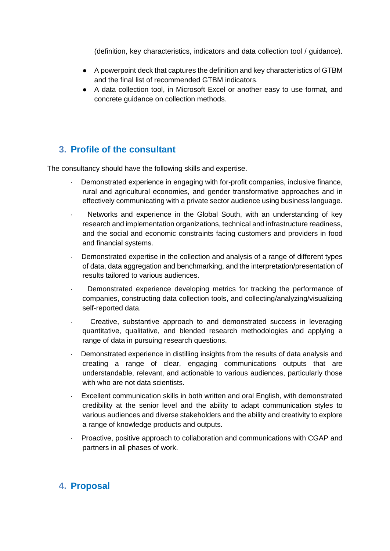(definition, key characteristics, indicators and data collection tool / guidance).

- A powerpoint deck that captures the definition and key characteristics of GTBM and the final list of recommended GTBM indicators.
- A data collection tool, in Microsoft Excel or another easy to use format, and concrete guidance on collection methods.

## **3. Profile of the consultant**

The consultancy should have the following skills and expertise.

- Demonstrated experience in engaging with for-profit companies, inclusive finance, rural and agricultural economies, and gender transformative approaches and in effectively communicating with a private sector audience using business language.
- Networks and experience in the Global South, with an understanding of key research and implementation organizations, technical and infrastructure readiness, and the social and economic constraints facing customers and providers in food and financial systems.
- Demonstrated expertise in the collection and analysis of a range of different types of data, data aggregation and benchmarking, and the interpretation/presentation of results tailored to various audiences.
- Demonstrated experience developing metrics for tracking the performance of companies, constructing data collection tools, and collecting/analyzing/visualizing self-reported data.
- · Creative, substantive approach to and demonstrated success in leveraging quantitative, qualitative, and blended research methodologies and applying a range of data in pursuing research questions.
- Demonstrated experience in distilling insights from the results of data analysis and creating a range of clear, engaging communications outputs that are understandable, relevant, and actionable to various audiences, particularly those with who are not data scientists.
- Excellent communication skills in both written and oral English, with demonstrated credibility at the senior level and the ability to adapt communication styles to various audiences and diverse stakeholders and the ability and creativity to explore a range of knowledge products and outputs.
- Proactive, positive approach to collaboration and communications with CGAP and partners in all phases of work.

### **4. Proposal**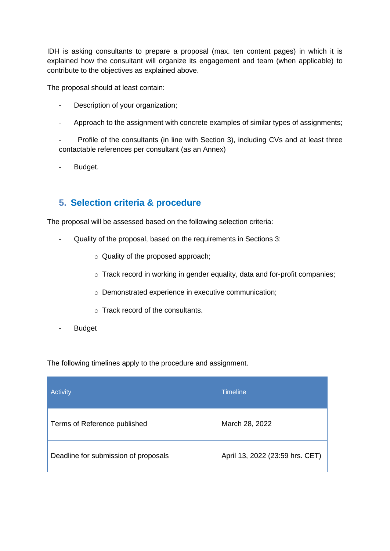IDH is asking consultants to prepare a proposal (max. ten content pages) in which it is explained how the consultant will organize its engagement and team (when applicable) to contribute to the objectives as explained above.

The proposal should at least contain:

- Description of your organization;
- Approach to the assignment with concrete examples of similar types of assignments;

Profile of the consultants (in line with Section 3), including CVs and at least three contactable references per consultant (as an Annex)

Budget.

### **5. Selection criteria & procedure**

The proposal will be assessed based on the following selection criteria:

- Quality of the proposal, based on the requirements in Sections 3:
	- o Quality of the proposed approach;
	- o Track record in working in gender equality, data and for-profit companies;
	- o Demonstrated experience in executive communication;
	- o Track record of the consultants.
- Budget

The following timelines apply to the procedure and assignment.

| Activity                             | <b>Timeline</b>                 |
|--------------------------------------|---------------------------------|
| Terms of Reference published         | March 28, 2022                  |
| Deadline for submission of proposals | April 13, 2022 (23:59 hrs. CET) |